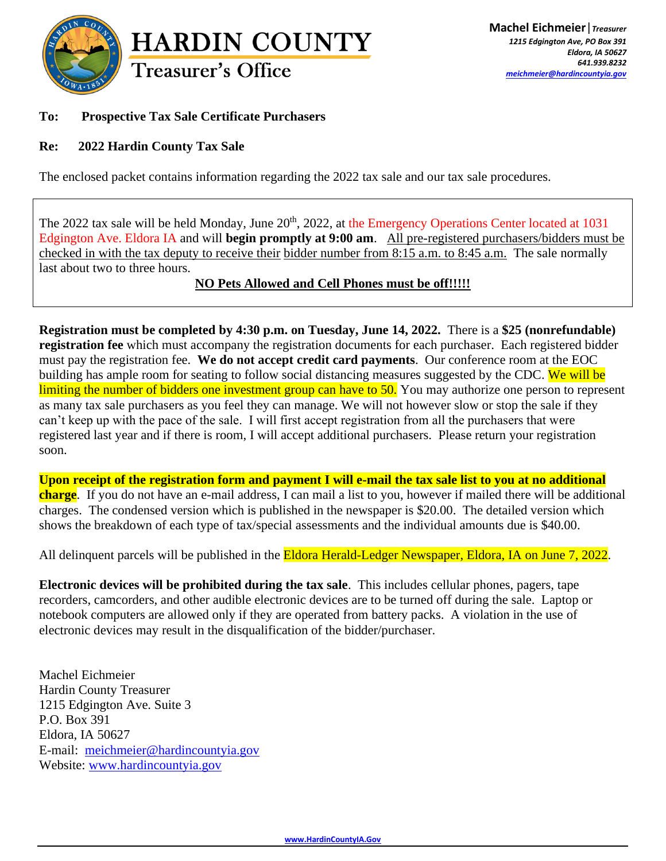

## **To: Prospective Tax Sale Certificate Purchasers**

### **Re: 2022 Hardin County Tax Sale**

The enclosed packet contains information regarding the 2022 tax sale and our tax sale procedures.

The 2022 tax sale will be held Monday, June 20<sup>th</sup>, 2022, at the Emergency Operations Center located at 1031 Edgington Ave. Eldora IA and will **begin promptly at 9:00 am**. All pre-registered purchasers/bidders must be checked in with the tax deputy to receive their bidder number from 8:15 a.m. to 8:45 a.m. The sale normally last about two to three hours.

#### **NO Pets Allowed and Cell Phones must be off!!!!!**

**Registration must be completed by 4:30 p.m. on Tuesday, June 14, 2022.** There is a **\$25 (nonrefundable) registration fee** which must accompany the registration documents for each purchaser. Each registered bidder must pay the registration fee. **We do not accept credit card payments**. Our conference room at the EOC building has ample room for seating to follow social distancing measures suggested by the CDC. We will be limiting the number of bidders one investment group can have to 50. You may authorize one person to represent as many tax sale purchasers as you feel they can manage. We will not however slow or stop the sale if they can't keep up with the pace of the sale. I will first accept registration from all the purchasers that were registered last year and if there is room, I will accept additional purchasers. Please return your registration soon.

**Upon receipt of the registration form and payment I will e-mail the tax sale list to you at no additional charge**. If you do not have an e-mail address, I can mail a list to you, however if mailed there will be additional charges. The condensed version which is published in the newspaper is \$20.00. The detailed version which shows the breakdown of each type of tax/special assessments and the individual amounts due is \$40.00.

All delinquent parcels will be published in the **Eldora Herald-Ledger Newspaper**, Eldora, IA on June 7, 2022.

**Electronic devices will be prohibited during the tax sale**. This includes cellular phones, pagers, tape recorders, camcorders, and other audible electronic devices are to be turned off during the sale. Laptop or notebook computers are allowed only if they are operated from battery packs. A violation in the use of electronic devices may result in the disqualification of the bidder/purchaser.

Machel Eichmeier Hardin County Treasurer 1215 Edgington Ave. Suite 3 P.O. Box 391 Eldora, IA 50627 E-mail: [meichmeier@hardincountyia.gov](mailto:meichmeier@hardincountyia.gov) Website: [www.hardincountyia.gov](http://www.hardincountyia.gov/)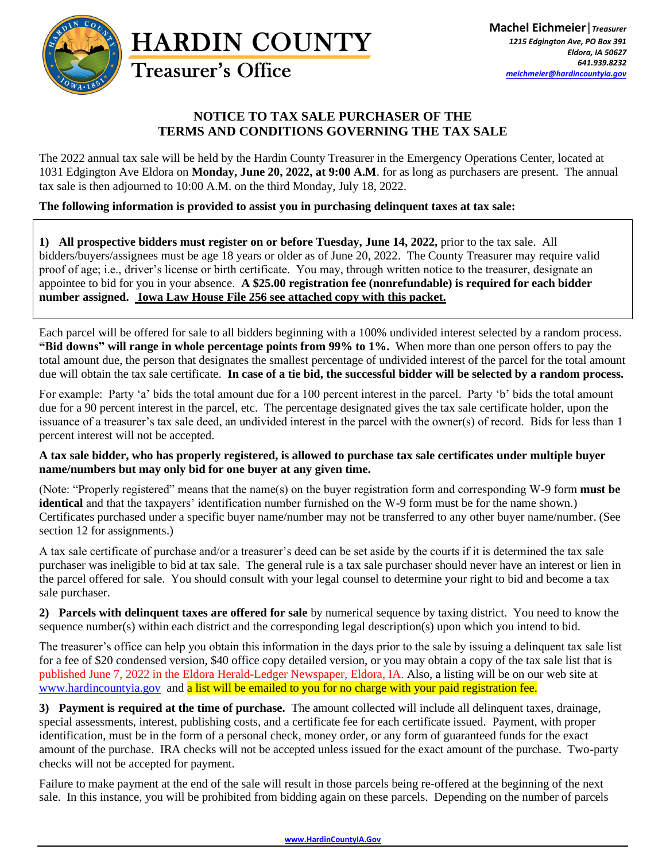

### **NOTICE TO TAX SALE PURCHASER OF THE TERMS AND CONDITIONS GOVERNING THE TAX SALE**

The 2022 annual tax sale will be held by the Hardin County Treasurer in the Emergency Operations Center, located at 1031 Edgington Ave Eldora on **Monday, June 20, 2022, at 9:00 A.M**. for as long as purchasers are present. The annual tax sale is then adjourned to 10:00 A.M. on the third Monday, July 18, 2022.

#### **The following information is provided to assist you in purchasing delinquent taxes at tax sale:**

**1) All prospective bidders must register on or before Tuesday, June 14, 2022,** prior to the tax sale. All bidders/buyers/assignees must be age 18 years or older as of June 20, 2022. The County Treasurer may require valid proof of age; i.e., driver's license or birth certificate. You may, through written notice to the treasurer, designate an appointee to bid for you in your absence. **A \$25.00 registration fee (nonrefundable) is required for each bidder number assigned. Iowa Law House File 256 see attached copy with this packet.**

Each parcel will be offered for sale to all bidders beginning with a 100% undivided interest selected by a random process. **"Bid downs" will range in whole percentage points from 99% to 1%.** When more than one person offers to pay the total amount due, the person that designates the smallest percentage of undivided interest of the parcel for the total amount due will obtain the tax sale certificate. **In case of a tie bid, the successful bidder will be selected by a random process.** 

For example: Party 'a' bids the total amount due for a 100 percent interest in the parcel. Party 'b' bids the total amount due for a 90 percent interest in the parcel, etc. The percentage designated gives the tax sale certificate holder, upon the issuance of a treasurer's tax sale deed, an undivided interest in the parcel with the owner(s) of record. Bids for less than 1 percent interest will not be accepted.

#### **A tax sale bidder, who has properly registered, is allowed to purchase tax sale certificates under multiple buyer name/numbers but may only bid for one buyer at any given time.**

(Note: "Properly registered" means that the name(s) on the buyer registration form and corresponding W-9 form **must be identical** and that the taxpayers' identification number furnished on the W-9 form must be for the name shown.) Certificates purchased under a specific buyer name/number may not be transferred to any other buyer name/number. (See section 12 for assignments.)

A tax sale certificate of purchase and/or a treasurer's deed can be set aside by the courts if it is determined the tax sale purchaser was ineligible to bid at tax sale. The general rule is a tax sale purchaser should never have an interest or lien in the parcel offered for sale. You should consult with your legal counsel to determine your right to bid and become a tax sale purchaser.

**2) Parcels with delinquent taxes are offered for sale** by numerical sequence by taxing district. You need to know the sequence number(s) within each district and the corresponding legal description(s) upon which you intend to bid.

The treasurer's office can help you obtain this information in the days prior to the sale by issuing a delinquent tax sale list for a fee of \$20 condensed version, \$40 office copy detailed version, or you may obtain a copy of the tax sale list that is published June 7, 2022 in the Eldora Herald-Ledger Newspaper, Eldora, IA. Also, a listing will be on our web site at [www.hardincountyia.gov](http://www.hardincountyia.gov/) and a list will be emailed to you for no charge with your paid registration fee.

**3) Payment is required at the time of purchase.** The amount collected will include all delinquent taxes, drainage, special assessments, interest, publishing costs, and a certificate fee for each certificate issued. Payment, with proper identification, must be in the form of a personal check, money order, or any form of guaranteed funds for the exact amount of the purchase. IRA checks will not be accepted unless issued for the exact amount of the purchase. Two-party checks will not be accepted for payment.

Failure to make payment at the end of the sale will result in those parcels being re-offered at the beginning of the next sale. In this instance, you will be prohibited from bidding again on these parcels. Depending on the number of parcels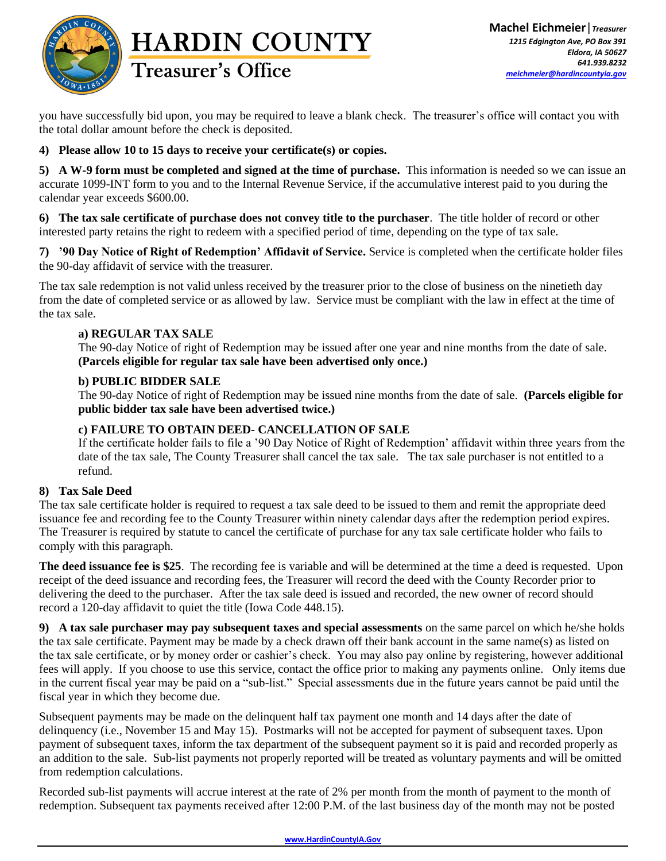

# **HARDIN COUNTY Treasurer's Office**

you have successfully bid upon, you may be required to leave a blank check. The treasurer's office will contact you with the total dollar amount before the check is deposited.

**4) Please allow 10 to 15 days to receive your certificate(s) or copies.**

**5) A W-9 form must be completed and signed at the time of purchase.** This information is needed so we can issue an accurate 1099-INT form to you and to the Internal Revenue Service, if the accumulative interest paid to you during the calendar year exceeds \$600.00.

**6) The tax sale certificate of purchase does not convey title to the purchaser**. The title holder of record or other interested party retains the right to redeem with a specified period of time, depending on the type of tax sale.

**7) '90 Day Notice of Right of Redemption' Affidavit of Service.** Service is completed when the certificate holder files the 90-day affidavit of service with the treasurer.

The tax sale redemption is not valid unless received by the treasurer prior to the close of business on the ninetieth day from the date of completed service or as allowed by law. Service must be compliant with the law in effect at the time of the tax sale.

#### **a) REGULAR TAX SALE**

The 90-day Notice of right of Redemption may be issued after one year and nine months from the date of sale. **(Parcels eligible for regular tax sale have been advertised only once.)** 

#### **b) PUBLIC BIDDER SALE**

The 90-day Notice of right of Redemption may be issued nine months from the date of sale. **(Parcels eligible for public bidder tax sale have been advertised twice.)**

#### **c) FAILURE TO OBTAIN DEED- CANCELLATION OF SALE**

If the certificate holder fails to file a '90 Day Notice of Right of Redemption' affidavit within three years from the date of the tax sale, The County Treasurer shall cancel the tax sale. The tax sale purchaser is not entitled to a refund.

#### **8) Tax Sale Deed**

The tax sale certificate holder is required to request a tax sale deed to be issued to them and remit the appropriate deed issuance fee and recording fee to the County Treasurer within ninety calendar days after the redemption period expires. The Treasurer is required by statute to cancel the certificate of purchase for any tax sale certificate holder who fails to comply with this paragraph.

**The deed issuance fee is \$25**. The recording fee is variable and will be determined at the time a deed is requested. Upon receipt of the deed issuance and recording fees, the Treasurer will record the deed with the County Recorder prior to delivering the deed to the purchaser. After the tax sale deed is issued and recorded, the new owner of record should record a 120-day affidavit to quiet the title (Iowa Code 448.15).

**9) A tax sale purchaser may pay subsequent taxes and special assessments** on the same parcel on which he/she holds the tax sale certificate. Payment may be made by a check drawn off their bank account in the same name(s) as listed on the tax sale certificate, or by money order or cashier's check. You may also pay online by registering, however additional fees will apply. If you choose to use this service, contact the office prior to making any payments online. Only items due in the current fiscal year may be paid on a "sub-list." Special assessments due in the future years cannot be paid until the fiscal year in which they become due.

Subsequent payments may be made on the delinquent half tax payment one month and 14 days after the date of delinquency (i.e., November 15 and May 15). Postmarks will not be accepted for payment of subsequent taxes. Upon payment of subsequent taxes, inform the tax department of the subsequent payment so it is paid and recorded properly as an addition to the sale. Sub-list payments not properly reported will be treated as voluntary payments and will be omitted from redemption calculations.

Recorded sub-list payments will accrue interest at the rate of 2% per month from the month of payment to the month of redemption. Subsequent tax payments received after 12:00 P.M. of the last business day of the month may not be posted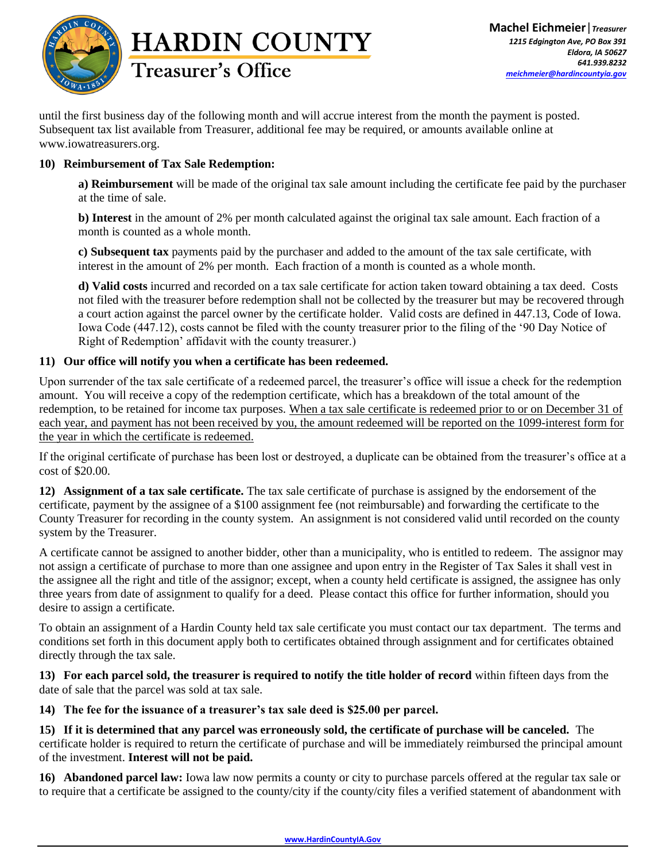



until the first business day of the following month and will accrue interest from the month the payment is posted. Subsequent tax list available from Treasurer, additional fee may be required, or amounts available online at www.iowatreasurers.org.

#### **10) Reimbursement of Tax Sale Redemption:**

**a) Reimbursement** will be made of the original tax sale amount including the certificate fee paid by the purchaser at the time of sale.

**b) Interest** in the amount of 2% per month calculated against the original tax sale amount. Each fraction of a month is counted as a whole month.

**c) Subsequent tax** payments paid by the purchaser and added to the amount of the tax sale certificate, with interest in the amount of 2% per month. Each fraction of a month is counted as a whole month.

**d) Valid costs** incurred and recorded on a tax sale certificate for action taken toward obtaining a tax deed. Costs not filed with the treasurer before redemption shall not be collected by the treasurer but may be recovered through a court action against the parcel owner by the certificate holder. Valid costs are defined in 447.13, Code of Iowa. Iowa Code (447.12), costs cannot be filed with the county treasurer prior to the filing of the '90 Day Notice of Right of Redemption' affidavit with the county treasurer.)

#### **11) Our office will notify you when a certificate has been redeemed.**

Upon surrender of the tax sale certificate of a redeemed parcel, the treasurer's office will issue a check for the redemption amount. You will receive a copy of the redemption certificate, which has a breakdown of the total amount of the redemption, to be retained for income tax purposes. When a tax sale certificate is redeemed prior to or on December 31 of each year, and payment has not been received by you, the amount redeemed will be reported on the 1099-interest form for the year in which the certificate is redeemed.

If the original certificate of purchase has been lost or destroyed, a duplicate can be obtained from the treasurer's office at a cost of \$20.00.

**12) Assignment of a tax sale certificate.** The tax sale certificate of purchase is assigned by the endorsement of the certificate, payment by the assignee of a \$100 assignment fee (not reimbursable) and forwarding the certificate to the County Treasurer for recording in the county system. An assignment is not considered valid until recorded on the county system by the Treasurer.

A certificate cannot be assigned to another bidder, other than a municipality, who is entitled to redeem. The assignor may not assign a certificate of purchase to more than one assignee and upon entry in the Register of Tax Sales it shall vest in the assignee all the right and title of the assignor; except, when a county held certificate is assigned, the assignee has only three years from date of assignment to qualify for a deed. Please contact this office for further information, should you desire to assign a certificate.

To obtain an assignment of a Hardin County held tax sale certificate you must contact our tax department. The terms and conditions set forth in this document apply both to certificates obtained through assignment and for certificates obtained directly through the tax sale.

**13) For each parcel sold, the treasurer is required to notify the title holder of record** within fifteen days from the date of sale that the parcel was sold at tax sale.

**14) The fee for the issuance of a treasurer's tax sale deed is \$25.00 per parcel.**

**15) If it is determined that any parcel was erroneously sold, the certificate of purchase will be canceled.** The certificate holder is required to return the certificate of purchase and will be immediately reimbursed the principal amount of the investment. **Interest will not be paid.** 

**16) Abandoned parcel law:** Iowa law now permits a county or city to purchase parcels offered at the regular tax sale or to require that a certificate be assigned to the county/city if the county/city files a verified statement of abandonment with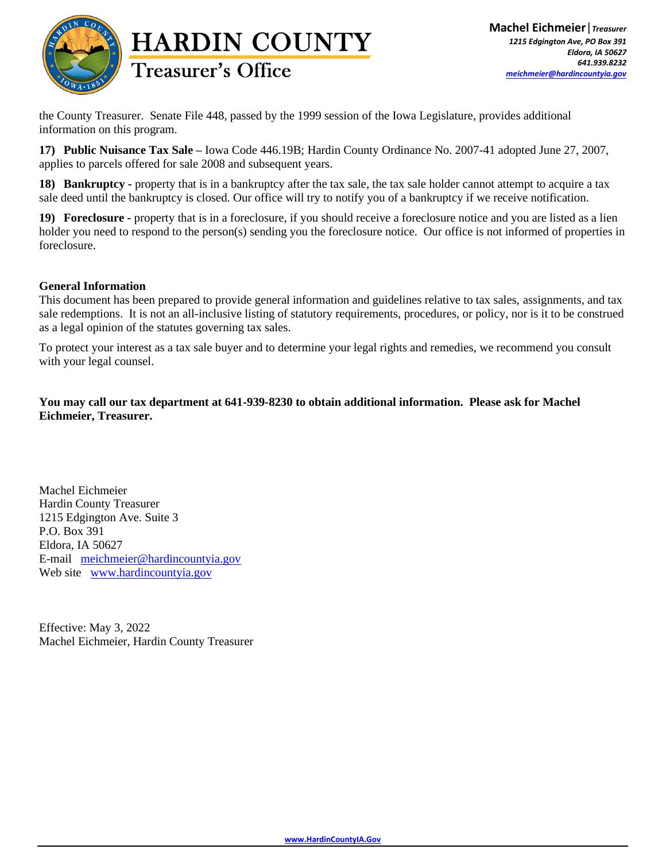

the County Treasurer. Senate File 448, passed by the 1999 session of the Iowa Legislature, provides additional information on this program.

**17) Public Nuisance Tax Sale –** Iowa Code 446.19B; Hardin County Ordinance No. 2007-41 adopted June 27, 2007, applies to parcels offered for sale 2008 and subsequent years.

**18) Bankruptcy -** property that is in a bankruptcy after the tax sale, the tax sale holder cannot attempt to acquire a tax sale deed until the bankruptcy is closed. Our office will try to notify you of a bankruptcy if we receive notification.

**19) Foreclosure -** property that is in a foreclosure, if you should receive a foreclosure notice and you are listed as a lien holder you need to respond to the person(s) sending you the foreclosure notice. Our office is not informed of properties in foreclosure.

#### **General Information**

This document has been prepared to provide general information and guidelines relative to tax sales, assignments, and tax sale redemptions. It is not an all-inclusive listing of statutory requirements, procedures, or policy, nor is it to be construed as a legal opinion of the statutes governing tax sales.

To protect your interest as a tax sale buyer and to determine your legal rights and remedies, we recommend you consult with your legal counsel.

**You may call our tax department at 641-939-8230 to obtain additional information. Please ask for Machel Eichmeier, Treasurer.**

Machel Eichmeier Hardin County Treasurer 1215 Edgington Ave. Suite 3 P.O. Box 391 Eldora, IA 50627 E-mail [meichmeier@hardincountyia.gov](mailto:meichmeier@hardincountyia.gov) Web site [www.hardincountyia.gov](http://www.hardincountyia.gov/)

Effective: May 3, 2022 Machel Eichmeier, Hardin County Treasurer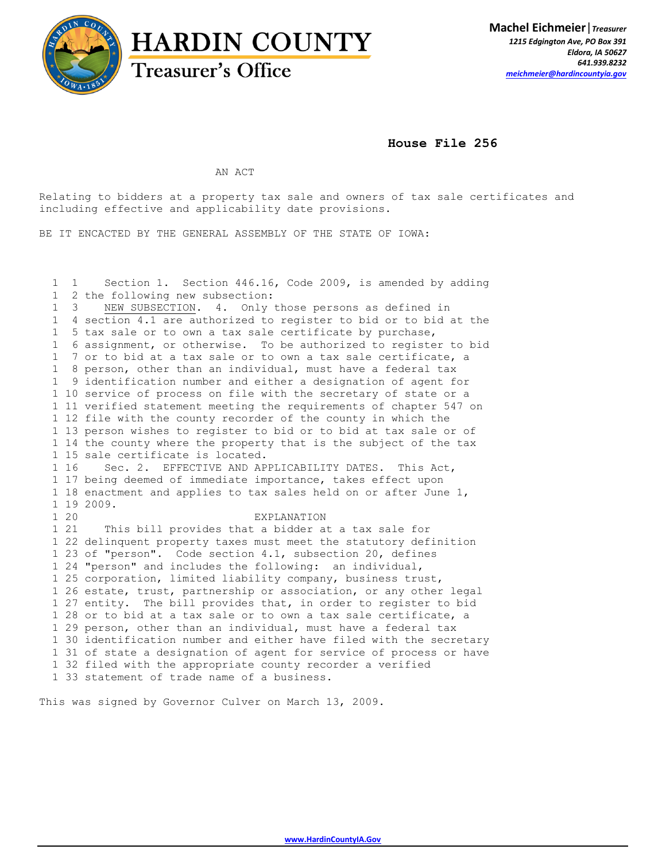

**House File 256** 

AN ACT

Relating to bidders at a property tax sale and owners of tax sale certificates and including effective and applicability date provisions.

BE IT ENCACTED BY THE GENERAL ASSEMBLY OF THE STATE OF IOWA:

 1 1 Section 1. Section 446.16, Code 2009, is amended by adding 1 2 the following new subsection: 1 3 NEW SUBSECTION. 4. Only those persons as defined in 1 4 section 4.1 are authorized to register to bid or to bid at the 1 5 tax sale or to own a tax sale certificate by purchase, 1 6 assignment, or otherwise. To be authorized to register to bid 1 7 or to bid at a tax sale or to own a tax sale certificate, a 1 8 person, other than an individual, must have a federal tax 1 9 identification number and either a designation of agent for 1 10 service of process on file with the secretary of state or a 1 11 verified statement meeting the requirements of chapter 547 on 1 12 file with the county recorder of the county in which the 1 13 person wishes to register to bid or to bid at tax sale or of 1 14 the county where the property that is the subject of the tax 1 15 sale certificate is located. 1 16 Sec. 2. EFFECTIVE AND APPLICABILITY DATES. This Act, 1 17 being deemed of immediate importance, takes effect upon 1 18 enactment and applies to tax sales held on or after June 1, 1 19 2009. 1 20 EXPLANATION 1 21 This bill provides that a bidder at a tax sale for 1 22 delinquent property taxes must meet the statutory definition 1 23 of "person". Code section 4.1, subsection 20, defines 1 24 "person" and includes the following: an individual, 1 25 corporation, limited liability company, business trust, 1 26 estate, trust, partnership or association, or any other legal 1 27 entity. The bill provides that, in order to register to bid 1 28 or to bid at a tax sale or to own a tax sale certificate, a 1 29 person, other than an individual, must have a federal tax 1 30 identification number and either have filed with the secretary 1 31 of state a designation of agent for service of process or have 1 32 filed with the appropriate county recorder a verified 1 33 statement of trade name of a business.

This was signed by Governor Culver on March 13, 2009.